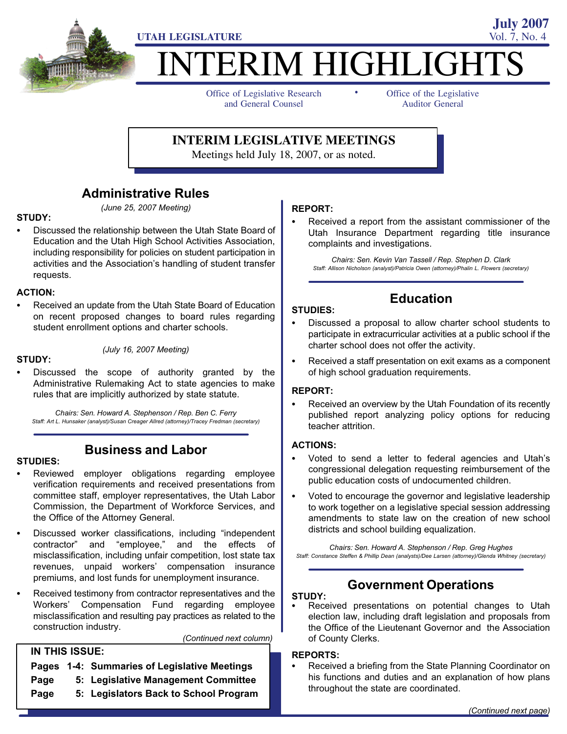

# **ITERIM HIGHLIGHTS**

-

Office of Legislative Research and General Counsel

Office of the Legislative Auditor General

**July 2007**

**INTERIM LEGISLATIVE MEETINGS**

Meetings held July 18, 2007, or as noted.

# Administrative Rules

(June 25, 2007 Meeting)

# STUDY: -

 Discussed the relationship between the Utah State Board of Education and the Utah High School Activities Association, including responsibility for policies on student participation in activities and the Association's handling of student transfer requests.

# ACTION: -

 Received an update from the Utah State Board of Education on recent proposed changes to board rules regarding student enrollment options and charter schools.

# STUDY: -

 Discussed the scope of authority granted by the Administrative Rulemaking Act to state agencies to make rules that are implicitly authorized by state statute.

(July 16, 2007 Meeting)

Chairs: Sen. Howard A. Stephenson / Rep. Ben C. Ferry Staff: Art L. Hunsaker (analyst)/Susan Creager Allred (attorney)/Tracey Fredman (secretary)

# Business and Labor

# STUDIES:<br>-

- Reviewed employer obligations regarding employee verification requirements and received presentations from committee staff, employer representatives, the Utah Labor Commission, the Department of Workforce Services, and the Office of the Attorney General.
- Discussed worker classifications, including "independent contractor" and "employee," and the effects of misclassification, including unfair competition, lost state tax revenues, unpaid workers' compensation insurance premiums, and lost funds for unemployment insurance.
- Received testimony from contractor representatives and the Workers' Compensation Fund regarding employee misclassification and resulting pay practices as related to the construction industry.

#### (Continued next column)

#### IN THIS ISSUE:

- Pages 1−4: Summaries of Legislative Meetings
- Page 5: Legislative Management Committee
- Page 5: Legislators Back to School Program

# REPORT:<br>-

 Received a report from the assistant commissioner of the Utah Insurance Department regarding title insurance complaints and investigations.

Chairs: Sen. Kevin Van Tassell / Rep. Stephen D. Clark Staff: Allison Nicholson (analyst)/Patricia Owen (attorney)/Phalin L. Flowers (secretary)

# **Education**

# STUDIES:<br>-

- Discussed a proposal to allow charter school students to participate in extracurricular activities at a public school if the charter school does not offer the activity.
- Received a staff presentation on exit exams as a component of high school graduation requirements.

# REPORT: -

 Received an overview by the Utah Foundation of its recently published report analyzing policy options for reducing teacher attrition.

# ACTIONS: -

- Voted to send a letter to federal agencies and Utah's congressional delegation requesting reimbursement of the public education costs of undocumented children.
- Voted to encourage the governor and legislative leadership to work together on a legislative special session addressing amendments to state law on the creation of new school districts and school building equalization.

Chairs: Sen. Howard A. Stephenson / Rep. Greg Hughes Staff: Constance Steffen & Phillip Dean (analysts)/Dee Larsen (attorney)/Glenda Whitney (secretary)

### Government Operations

### STUDY: -

 Received presentations on potential changes to Utah election law, including draft legislation and proposals from the Office of the Lieutenant Governor and the Association of County Clerks.

## REPORTS: -

 Received a briefing from the State Planning Coordinator on his functions and duties and an explanation of how plans throughout the state are coordinated.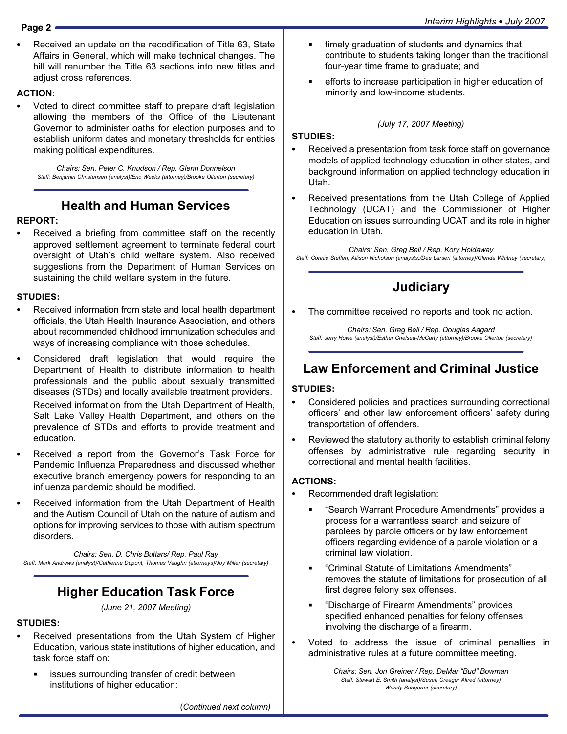Received an update on the recodification of Title 63, State Affairs in General, which will make technical changes. The bill will renumber the Title 63 sections into new titles and adjust cross references.

# ACTION:

 Voted to direct committee staff to prepare draft legislation allowing the members of the Office of the Lieutenant Governor to administer oaths for election purposes and to establish uniform dates and monetary thresholds for entities making political expenditures.

Chairs: Sen. Peter C. Knudson / Rep. Glenn Donnelson Staff: Benjamin Christensen (analyst)/Eric Weeks (attorney)/Brooke Ollerton (secretary)

# Health and Human Services

# REPORT: -

 Received a briefing from committee staff on the recently approved settlement agreement to terminate federal court oversight of Utah's child welfare system. Also received suggestions from the Department of Human Services on sustaining the child welfare system in the future.

# STUDIES:<br>-

- Received information from state and local health department officials, the Utah Health Insurance Association, and others about recommended childhood immunization schedules and ways of increasing compliance with those schedules.
- Considered draft legislation that would require the Department of Health to distribute information to health professionals and the public about sexually transmitted diseases (STDs) and locally available treatment providers.

Received information from the Utah Department of Health, Salt Lake Valley Health Department, and others on the prevalence of STDs and efforts to provide treatment and education.

- Received a report from the Governor's Task Force for Pandemic Influenza Preparedness and discussed whether executive branch emergency powers for responding to an influenza pandemic should be modified.
- Received information from the Utah Department of Health and the Autism Council of Utah on the nature of autism and options for improving services to those with autism spectrum disorders.

Chairs: Sen. D. Chris Buttars/ Rep. Paul Ray Staff: Mark Andrews (analyst)/Catherine Dupont, Thomas Vaughn (attorneys)/Joy Miller (secretary)

# Higher Education Task Force

(June 21, 2007 Meeting)

# STUDIES:<br>-

- Received presentations from the Utah System of Higher Education, various state institutions of higher education, and task force staff on:
	- issues surrounding transfer of credit between institutions of higher education;
- timely graduation of students and dynamics that contribute to students taking longer than the traditional four−year time frame to graduate; and
- efforts to increase participation in higher education of minority and low−income students.

# STUDIES:<br>-

#### Received a presentation from task force staff on governance models of applied technology education in other states, and background information on applied technology education in Utah.

(July 17, 2007 Meeting)

 Received presentations from the Utah College of Applied Technology (UCAT) and the Commissioner of Higher Education on issues surrounding UCAT and its role in higher education in Utah.

Chairs: Sen. Greg Bell / Rep. Kory Holdaway Staff: Connie Steffen, Allison Nicholson (analysts)/Dee Larsen (attorney)/Glenda Whitney (secretary)

# Judiciary

The committee received no reports and took no action.

Chairs: Sen. Greg Bell / Rep. Douglas Aagard Staff: Jerry Howe (analyst)/Esther Chelsea−McCarty (attorney)/Brooke Ollerton (secretary)

# Law Enforcement and Criminal Justice

# STUDIES: -

- Considered policies and practices surrounding correctional officers' and other law enforcement officers' safety during transportation of offenders.
- Reviewed the statutory authority to establish criminal felony offenses by administrative rule regarding security in correctional and mental health facilities.

# ACTIONS: -

- Recommended draft legislation:
	- -Search Warrant Procedure Amendments" provides a process for a warrantless search and seizure of parolees by parole officers or by law enforcement officers regarding evidence of a parole violation or a criminal law violation.
	- -Criminal Statute of Limitations Amendments" removes the statute of limitations for prosecution of all first degree felony sex offenses.
	- -Discharge of Firearm Amendments" provides specified enhanced penalties for felony offenses involving the discharge of a firearm.
- Voted to address the issue of criminal penalties in administrative rules at a future committee meeting.

Chairs: Sen. Jon Greiner / Rep. DeMar "Bud" Bowman Staff: Stewart E. Smith (analyst)/Susan Creager Allred (attorney) Wendy Bangerter (secretary)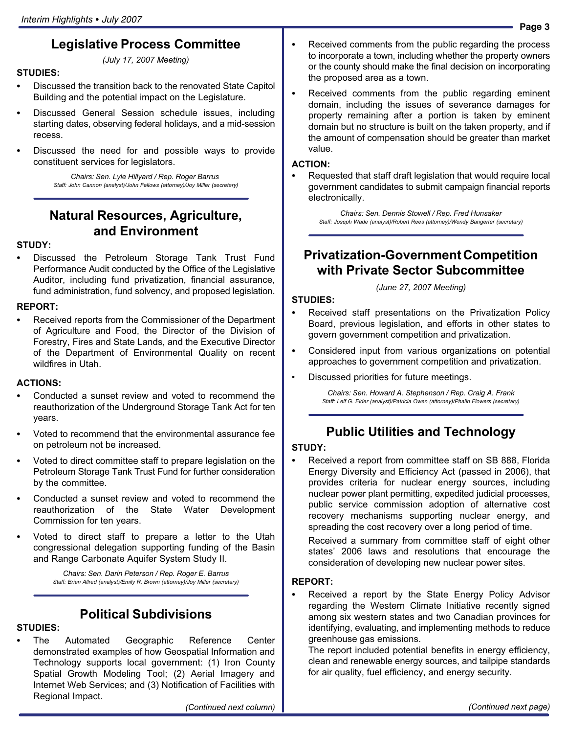# Legislative Process Committee

(July 17, 2007 Meeting)

# STUDIES:<br>--

- Discussed the transition back to the renovated State Capitol Building and the potential impact on the Legislature.
- Discussed General Session schedule issues, including starting dates, observing federal holidays, and a mid−session recess.
- Discussed the need for and possible ways to provide constituent services for legislators.

Chairs: Sen. Lyle Hillyard / Rep. Roger Barrus Staff: John Cannon (analyst)/John Fellows (attorney)/Joy Miller (secretary)

# Natural Resources, Agriculture, and Environment

# STUDY:<br>--

 Discussed the Petroleum Storage Tank Trust Fund Performance Audit conducted by the Office of the Legislative Auditor, including fund privatization, financial assurance, fund administration, fund solvency, and proposed legislation.

# REPORT:

 Received reports from the Commissioner of the Department of Agriculture and Food, the Director of the Division of Forestry, Fires and State Lands, and the Executive Director of the Department of Environmental Quality on recent wildfires in Utah.

# ACTIONS:

- Conducted a sunset review and voted to recommend the reauthorization of the Underground Storage Tank Act for ten years.
- Voted to recommend that the environmental assurance fee on petroleum not be increased.
- Voted to direct committee staff to prepare legislation on the Petroleum Storage Tank Trust Fund for further consideration by the committee.
- Conducted a sunset review and voted to recommend the reauthorization of the State Water Development Commission for ten years.
- Voted to direct staff to prepare a letter to the Utah congressional delegation supporting funding of the Basin and Range Carbonate Aquifer System Study II.

Chairs: Sen. Darin Peterson / Rep. Roger E. Barrus Staff: Brian Allred (analyst)/Emily R. Brown (attorney)/Joy Miller (secretary)

# Political Subdivisions

# STUDIES:<br>\_\_

 The Automated Geographic Reference Center demonstrated examples of how Geospatial Information and Technology supports local government: (1) Iron County Spatial Growth Modeling Tool; (2) Aerial Imagery and Internet Web Services; and (3) Notification of Facilities with Regional Impact.

 Received comments from the public regarding the process to incorporate a town, including whether the property owners or the county should make the final decision on incorporating the proposed area as a town.

 Received comments from the public regarding eminent domain, including the issues of severance damages for property remaining after a portion is taken by eminent domain but no structure is built on the taken property, and if the amount of compensation should be greater than market value.

# ACTION: -

 Requested that staff draft legislation that would require local government candidates to submit campaign financial reports electronically.

Chairs: Sen. Dennis Stowell / Rep. Fred Hunsaker Staff: Joseph Wade (analyst)/Robert Rees (attorney)/Wendy Bangerter (secretary)

# Privatization−Government Competition with Private Sector Subcommittee

(June 27, 2007 Meeting)

# STUDIES: -

- Received staff presentations on the Privatization Policy Board, previous legislation, and efforts in other states to govern government competition and privatization.
- Considered input from various organizations on potential approaches to government competition and privatization.
- Discussed priorities for future meetings.

Chairs: Sen. Howard A. Stephenson / Rep. Craig A. Frank Staff: Leif G. Elder (analyst)/Patricia Owen (attorney)/Phalin Flowers (secretary)

# Public Utilities and Technology

# STUDY: -

 Received a report from committee staff on SB 888, Florida Energy Diversity and Efficiency Act (passed in 2006), that provides criteria for nuclear energy sources, including nuclear power plant permitting, expedited judicial processes, public service commission adoption of alternative cost recovery mechanisms supporting nuclear energy, and spreading the cost recovery over a long period of time.

Received a summary from committee staff of eight other states' 2006 laws and resolutions that encourage the consideration of developing new nuclear power sites.

# REPORT:<br>-

 Received a report by the State Energy Policy Advisor regarding the Western Climate Initiative recently signed among six western states and two Canadian provinces for identifying, evaluating, and implementing methods to reduce greenhouse gas emissions.

The report included potential benefits in energy efficiency, clean and renewable energy sources, and tailpipe standards for air quality, fuel efficiency, and energy security.

(Continued next column)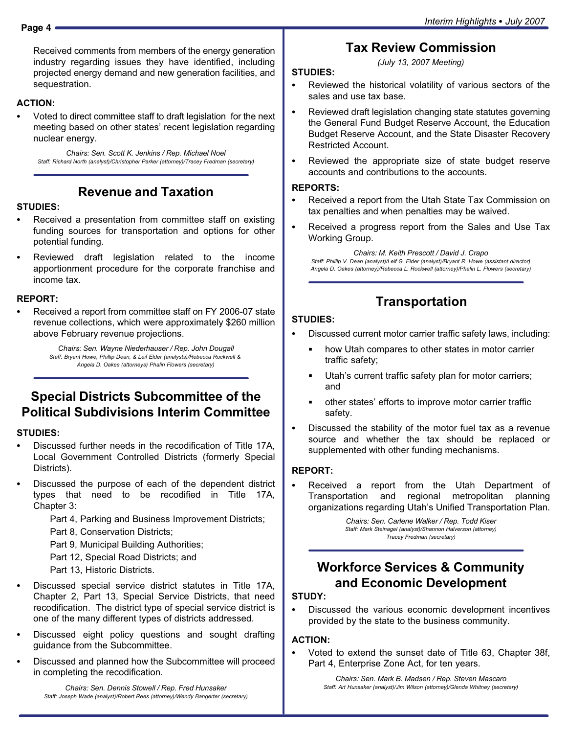Received comments from members of the energy generation industry regarding issues they have identified, including projected energy demand and new generation facilities, and sequestration.

# ACTION:

 Voted to direct committee staff to draft legislation for the next meeting based on other states' recent legislation regarding nuclear energy.

Chairs: Sen. Scott K. Jenkins / Rep. Michael Noel Staff: Richard North (analyst)/Christopher Parker (attorney)/Tracey Fredman (secretary)

# Revenue and Taxation

# STUDIES:<br>-

- Received a presentation from committee staff on existing funding sources for transportation and options for other potential funding.
- Reviewed draft legislation related to the income apportionment procedure for the corporate franchise and income tax.

# REPORT: -

 Received a report from committee staff on FY 2006−07 state revenue collections, which were approximately \$260 million above February revenue projections.

> Chairs: Sen. Wayne Niederhauser / Rep. John Dougall Staff: Bryant Howe, Phillip Dean, & Leif Elder (analysts)/Rebecca Rockwell & Angela D. Oakes (attorneys) Phalin Flowers (secretary)

# Special Districts Subcommittee of the Political Subdivisions Interim Committee

# STUDIES:<br>--

- Discussed further needs in the recodification of Title 17A, Local Government Controlled Districts (formerly Special Districts).
- Discussed the purpose of each of the dependent district types that need to be recodified in Title 17A, Chapter 3:

Part 4, Parking and Business Improvement Districts;

Part 8, Conservation Districts;

Part 9, Municipal Building Authorities;

Part 12, Special Road Districts; and

Part 13, Historic Districts.

- Discussed special service district statutes in Title 17A, Chapter 2, Part 13, Special Service Districts, that need recodification. The district type of special service district is one of the many different types of districts addressed.
- Discussed eight policy questions and sought drafting guidance from the Subcommittee.
- Discussed and planned how the Subcommittee will proceed in completing the recodification.

Chairs: Sen. Dennis Stowell / Rep. Fred Hunsaker Staff: Joseph Wade (analyst)/Robert Rees (attorney)/Wendy Bangerter (secretary)

# Tax Review Commission

(July 13, 2007 Meeting)

#### STUDIES: -

- Reviewed the historical volatility of various sectors of the sales and use tax base.
- Reviewed draft legislation changing state statutes governing the General Fund Budget Reserve Account, the Education Budget Reserve Account, and the State Disaster Recovery Restricted Account.
- Reviewed the appropriate size of state budget reserve accounts and contributions to the accounts.

# REPORTS: -

- Received a report from the Utah State Tax Commission on tax penalties and when penalties may be waived.
- Received a progress report from the Sales and Use Tax Working Group.

Chairs: M. Keith Prescott / David J. Crapo Staff: Phillip V. Dean (analyst)/Leif G. Elder (analyst)/Bryant R. Howe (assistant director) Angela D. Oakes (attorney)/Rebecca L. Rockwell (attorney)/Phalin L. Flowers (secretary)

# **Transportation**

#### STUDIES: -

- Discussed current motor carrier traffic safety laws, including:
	- how Utah compares to other states in motor carrier traffic safety;
	- Utah's current traffic safety plan for motor carriers; and
	- other states' efforts to improve motor carrier traffic safety.
- Discussed the stability of the motor fuel tax as a revenue source and whether the tax should be replaced or supplemented with other funding mechanisms.

#### REPORT: -

 Received a report from the Utah Department of Transportation and regional metropolitan planning organizations regarding Utah's Unified Transportation Plan.

> Chairs: Sen. Carlene Walker / Rep. Todd Kiser Staff: Mark Steinagel (analyst)/Shannon Halverson (attorney) Tracey Fredman (secretary)

# Workforce Services & Community and Economic Development

# STUDY:<br>--

 Discussed the various economic development incentives provided by the state to the business community.

# ACTION: -

 Voted to extend the sunset date of Title 63, Chapter 38f, Part 4, Enterprise Zone Act, for ten years.

> Chairs: Sen. Mark B. Madsen / Rep. Steven Mascaro Staff: Art Hunsaker (analyst)/Jim Wilson (attorney)/Glenda Whitney (secretary)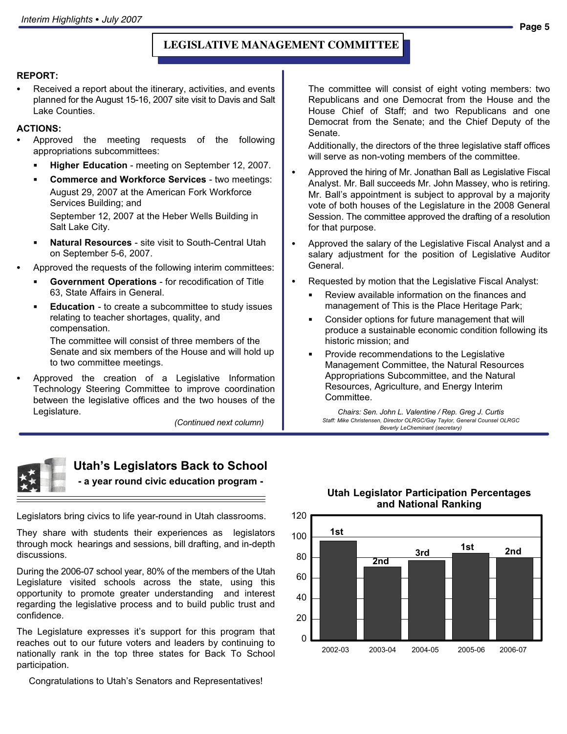#### **LEGISLATIVE MANAGEMENT COMMITTEE**

# REPORT: -

 Received a report about the itinerary, activities, and events planned for the August 15−16, 2007 site visit to Davis and Salt Lake Counties.

# ACTIONS: -

- Approved the meeting requests of the following appropriations subcommittees:
	- Higher Education meeting on September 12, 2007.
	- Commerce and Workforce Services − two meetings: August 29, 2007 at the American Fork Workforce Services Building; and September 12, 2007 at the Heber Wells Building in

Salt Lake City.

- Natural Resources − site visit to South−Central Utah on September 5−6, 2007.
- Approved the requests of the following interim committees:
	- Government Operations for recodification of Title 63, State Affairs in General.
	- Education − to create a subcommittee to study issues relating to teacher shortages, quality, and compensation.

The committee will consist of three members of the Senate and six members of the House and will hold up to two committee meetings.

 Approved the creation of a Legislative Information Technology Steering Committee to improve coordination between the legislative offices and the two houses of the Legislature.

(Continued next column)



# Utah's Legislators Back to School

− a year round civic education program −

Legislators bring civics to life year−round in Utah classrooms.

They share with students their experiences as legislators through mock hearings and sessions, bill drafting, and in−depth discussions.

During the 2006−07 school year, 80% of the members of the Utah Legislature visited schools across the state, using this opportunity to promote greater understanding and interest regarding the legislative process and to build public trust and confidence.

The Legislature expresses it's support for this program that reaches out to our future voters and leaders by continuing to nationally rank in the top three states for Back To School participation.

Congratulations to Utah's Senators and Representatives!

#### The committee will consist of eight voting members: two Republicans and one Democrat from the House and the House Chief of Staff; and two Republicans and one Democrat from the Senate; and the Chief Deputy of the Senate.

Additionally, the directors of the three legislative staff offices will serve as non−voting members of the committee.

- Approved the hiring of Mr. Jonathan Ball as Legislative Fiscal Analyst. Mr. Ball succeeds Mr. John Massey, who is retiring. Mr. Ball's appointment is subject to approval by a majority vote of both houses of the Legislature in the 2008 General Session. The committee approved the drafting of a resolution for that purpose.
- Approved the salary of the Legislative Fiscal Analyst and a salary adjustment for the position of Legislative Auditor General.
- Requested by motion that the Legislative Fiscal Analyst:
	- Review available information on the finances and management of This is the Place Heritage Park;
	- Consider options for future management that will produce a sustainable economic condition following its historic mission; and
	- Provide recommendations to the Legislative Management Committee, the Natural Resources Appropriations Subcommittee, and the Natural Resources, Agriculture, and Energy Interim Committee.

Chairs: Sen. John L. Valentine / Rep. Greg J. Curtis Staff: Mike Christensen, Director OLRGC/Gay Taylor, General Counsel OLRGC Beverly LeCheminant (secretary)



#### Utah Legislator Participation Percentages and National Ranking